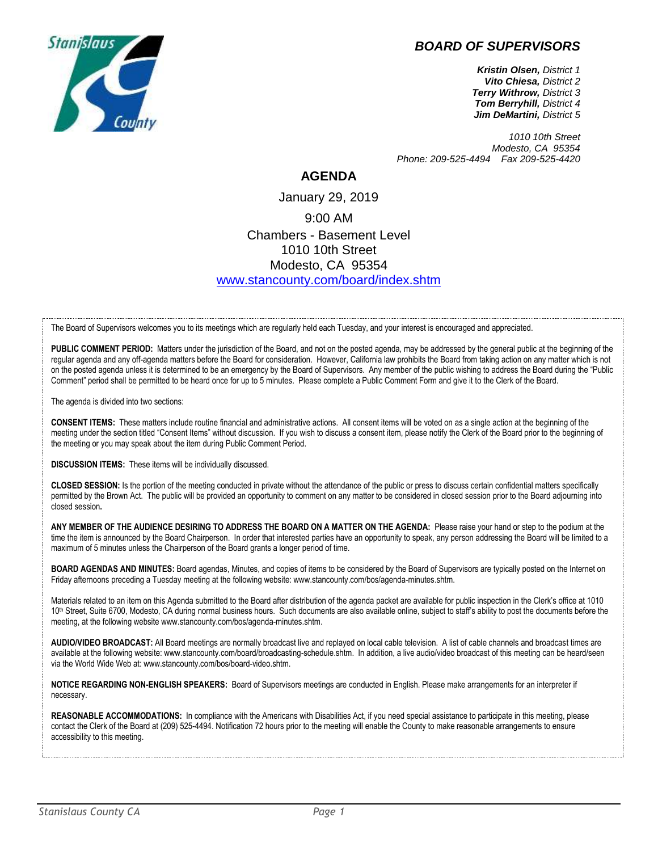## *BOARD OF SUPERVISORS*



*Kristin Olsen, District 1 Vito Chiesa, District 2 Terry Withrow, District 3 Tom Berryhill, District 4 Jim DeMartini, District 5*

*1010 10th Street Modesto, CA 95354 Phone: 209-525-4494 Fax 209-525-4420*

## **AGENDA**

January 29, 2019 9:00 AM Chambers - Basement Level 1010 10th Street Modesto, CA 95354 [www.stancounty.com/board/index.shtm](http://www.stancounty.com/board/index.shtm)

The Board of Supervisors welcomes you to its meetings which are regularly held each Tuesday, and your interest is encouraged and appreciated.

PUBLIC COMMENT PERIOD: Matters under the jurisdiction of the Board, and not on the posted agenda, may be addressed by the general public at the beginning of the regular agenda and any off-agenda matters before the Board for consideration. However, California law prohibits the Board from taking action on any matter which is not on the posted agenda unless it is determined to be an emergency by the Board of Supervisors. Any member of the public wishing to address the Board during the "Public Comment" period shall be permitted to be heard once for up to 5 minutes. Please complete a Public Comment Form and give it to the Clerk of the Board.

The agenda is divided into two sections:

**CONSENT ITEMS:** These matters include routine financial and administrative actions. All consent items will be voted on as a single action at the beginning of the meeting under the section titled "Consent Items" without discussion. If you wish to discuss a consent item, please notify the Clerk of the Board prior to the beginning of the meeting or you may speak about the item during Public Comment Period.

**DISCUSSION ITEMS:** These items will be individually discussed.

**CLOSED SESSION:** Is the portion of the meeting conducted in private without the attendance of the public or press to discuss certain confidential matters specifically permitted by the Brown Act. The public will be provided an opportunity to comment on any matter to be considered in closed session prior to the Board adjourning into closed session**.**

**ANY MEMBER OF THE AUDIENCE DESIRING TO ADDRESS THE BOARD ON A MATTER ON THE AGENDA:** Please raise your hand or step to the podium at the time the item is announced by the Board Chairperson. In order that interested parties have an opportunity to speak, any person addressing the Board will be limited to a maximum of 5 minutes unless the Chairperson of the Board grants a longer period of time.

**BOARD AGENDAS AND MINUTES:** Board agendas, Minutes, and copies of items to be considered by the Board of Supervisors are typically posted on the Internet on Friday afternoons preceding a Tuesday meeting at the following website: www.stancounty.com/bos/agenda-minutes.shtm.

Materials related to an item on this Agenda submitted to the Board after distribution of the agenda packet are available for public inspection in the Clerk's office at 1010 10<sup>th</sup> Street, Suite 6700, Modesto, CA during normal business hours. Such documents are also available online, subject to staff's ability to post the documents before the meeting, at the following website www.stancounty.com/bos/agenda-minutes.shtm.

**AUDIO/VIDEO BROADCAST:** All Board meetings are normally broadcast live and replayed on local cable television. A list of cable channels and broadcast times are available at the following website: www.stancounty.com/board/broadcasting-schedule.shtm. In addition, a live audio/video broadcast of this meeting can be heard/seen via the World Wide Web at: www.stancounty.com/bos/board-video.shtm.

**NOTICE REGARDING NON-ENGLISH SPEAKERS:** Board of Supervisors meetings are conducted in English. Please make arrangements for an interpreter if necessary.

**REASONABLE ACCOMMODATIONS:** In compliance with the Americans with Disabilities Act, if you need special assistance to participate in this meeting, please contact the Clerk of the Board at (209) 525-4494. Notification 72 hours prior to the meeting will enable the County to make reasonable arrangements to ensure accessibility to this meeting.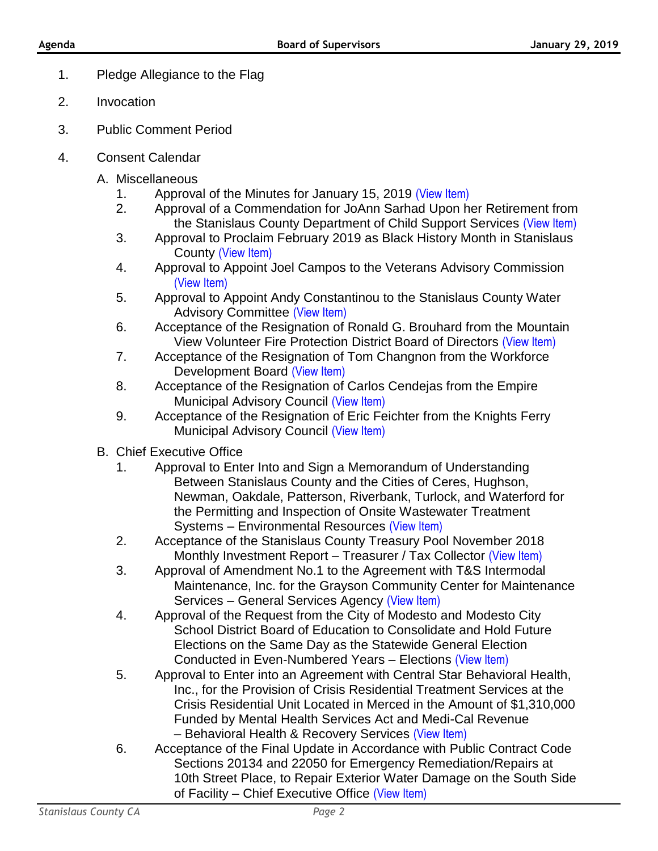- 1. Pledge Allegiance to the Flag
- 2. Invocation
- 3. Public Comment Period
- 4. Consent Calendar
	- A. Miscellaneous
		- 1. Approval of the Minutes for January 15, 2019 [\(View Item\)](http://stancounty.com/bos/minutes/2019/min01-15-19.pdf)
		- 2. Approval of a Commendation for JoAnn Sarhad Upon her Retirement from the Stanislaus County Department of Child Support Services [\(View Item\)](http://stancounty.com/bos/agenda/2019/20190129/A02.pdf)
		- 3. Approval to Proclaim February 2019 as Black History Month in Stanislaus County [\(View Item\)](http://stancounty.com/bos/agenda/2019/20190129/A03.pdf)
		- 4. Approval to Appoint Joel Campos to the Veterans Advisory Commission [\(View Item\)](http://stancounty.com/bos/agenda/2019/20190129/A04.pdf)
		- 5. Approval to Appoint Andy Constantinou to the Stanislaus County Water Advisory Committee [\(View Item\)](http://stancounty.com/bos/agenda/2019/20190129/A05.pdf)
		- 6. Acceptance of the Resignation of Ronald G. Brouhard from the Mountain View Volunteer Fire Protection District Board of Directors [\(View Item\)](http://stancounty.com/bos/agenda/2019/20190129/A06.pdf)
		- 7. Acceptance of the Resignation of Tom Changnon from the Workforce Development Board [\(View Item\)](http://stancounty.com/bos/agenda/2019/20190129/A07.pdf)
		- 8. Acceptance of the Resignation of Carlos Cendejas from the Empire Municipal Advisory Council [\(View Item\)](http://stancounty.com/bos/agenda/2019/20190129/A08.pdf)
		- 9. Acceptance of the Resignation of Eric Feichter from the Knights Ferry Municipal Advisory Council [\(View Item\)](http://stancounty.com/bos/agenda/2019/20190129/A09.pdf)
	- B. Chief Executive Office
		- 1. Approval to Enter Into and Sign a Memorandum of Understanding Between Stanislaus County and the Cities of Ceres, Hughson, Newman, Oakdale, Patterson, Riverbank, Turlock, and Waterford for the Permitting and Inspection of Onsite Wastewater Treatment Systems – Environmental Resources [\(View Item\)](http://stancounty.com/bos/agenda/2019/20190129/B01.pdf)
		- 2. Acceptance of the Stanislaus County Treasury Pool November 2018 Monthly Investment Report – Treasurer / Tax Collector [\(View Item\)](http://stancounty.com/bos/agenda/2019/20190129/B02.pdf)
		- 3. Approval of Amendment No.1 to the Agreement with T&S Intermodal Maintenance, Inc. for the Grayson Community Center for Maintenance Services – General Services Agency [\(View Item\)](http://stancounty.com/bos/agenda/2019/20190129/B03.pdf)
		- 4. Approval of the Request from the City of Modesto and Modesto City School District Board of Education to Consolidate and Hold Future Elections on the Same Day as the Statewide General Election Conducted in Even-Numbered Years – Elections [\(View Item\)](http://stancounty.com/bos/agenda/2019/20190129/B04.pdf)
		- 5. Approval to Enter into an Agreement with Central Star Behavioral Health, Inc., for the Provision of Crisis Residential Treatment Services at the Crisis Residential Unit Located in Merced in the Amount of \$1,310,000 Funded by Mental Health Services Act and Medi-Cal Revenue – Behavioral Health & Recovery Services [\(View Item\)](http://stancounty.com/bos/agenda/2019/20190129/B05.pdf)
		- 6. Acceptance of the Final Update in Accordance with Public Contract Code Sections 20134 and 22050 for Emergency Remediation/Repairs at 10th Street Place, to Repair Exterior Water Damage on the South Side of Facility – Chief Executive Office [\(View Item\)](http://stancounty.com/bos/agenda/2019/20190129/B06.pdf)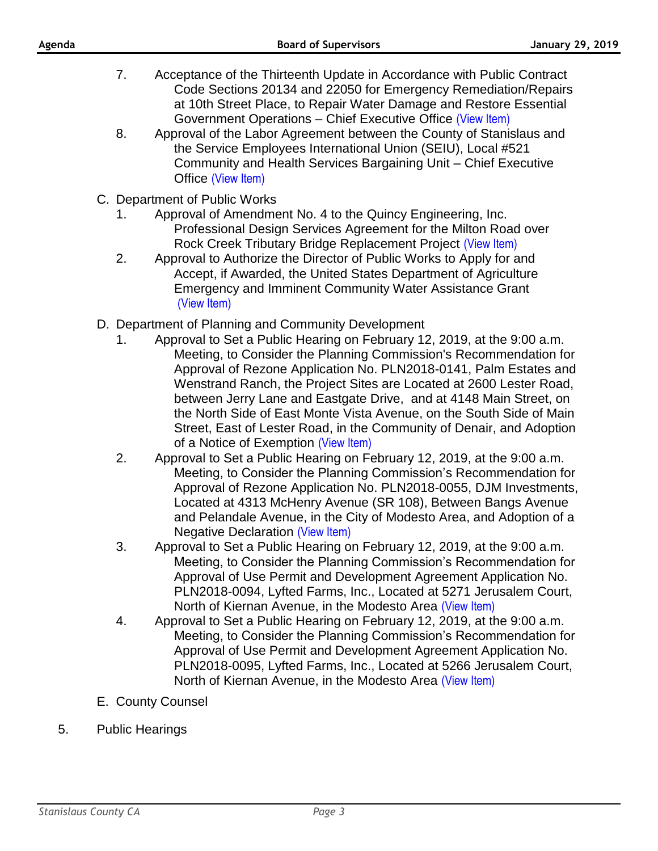- 7. Acceptance of the Thirteenth Update in Accordance with Public Contract Code Sections 20134 and 22050 for Emergency Remediation/Repairs at 10th Street Place, to Repair Water Damage and Restore Essential Government Operations – Chief Executive Office [\(View Item\)](http://stancounty.com/bos/agenda/2019/20190129/B07.pdf)
- 8. Approval of the Labor Agreement between the County of Stanislaus and the Service Employees International Union (SEIU), Local #521 Community and Health Services Bargaining Unit – Chief Executive Office [\(View Item\)](http://stancounty.com/bos/agenda/2019/20190129/B08.pdf)
- C. Department of Public Works
	- 1. Approval of Amendment No. 4 to the Quincy Engineering, Inc. Professional Design Services Agreement for the Milton Road over Rock Creek Tributary Bridge Replacement Project [\(View Item\)](http://stancounty.com/bos/agenda/2019/20190129/C01.pdf)
	- 2. Approval to Authorize the Director of Public Works to Apply for and Accept, if Awarded, the United States Department of Agriculture Emergency and Imminent Community Water Assistance Grant [\(View Item\)](http://stancounty.com/bos/agenda/2019/20190129/C02.pdf)
- D. Department of Planning and Community Development
	- 1. Approval to Set a Public Hearing on February 12, 2019, at the 9:00 a.m. Meeting, to Consider the Planning Commission's Recommendation for Approval of Rezone Application No. PLN2018-0141, Palm Estates and Wenstrand Ranch, the Project Sites are Located at 2600 Lester Road, between Jerry Lane and Eastgate Drive, and at 4148 Main Street, on the North Side of East Monte Vista Avenue, on the South Side of Main Street, East of Lester Road, in the Community of Denair, and Adoption of a Notice of Exemption [\(View Item\)](http://stancounty.com/bos/agenda/2019/20190129/D01.pdf)
	- 2. Approval to Set a Public Hearing on February 12, 2019, at the 9:00 a.m. Meeting, to Consider the Planning Commission's Recommendation for Approval of Rezone Application No. PLN2018-0055, DJM Investments, Located at 4313 McHenry Avenue (SR 108), Between Bangs Avenue and Pelandale Avenue, in the City of Modesto Area, and Adoption of a Negative Declaration [\(View Item\)](http://stancounty.com/bos/agenda/2019/20190129/D02.pdf)
	- 3. Approval to Set a Public Hearing on February 12, 2019, at the 9:00 a.m. Meeting, to Consider the Planning Commission's Recommendation for Approval of Use Permit and Development Agreement Application No. PLN2018-0094, Lyfted Farms, Inc., Located at 5271 Jerusalem Court, North of Kiernan Avenue, in the Modesto Area [\(View Item\)](http://stancounty.com/bos/agenda/2019/20190129/D03.pdf)
	- 4. Approval to Set a Public Hearing on February 12, 2019, at the 9:00 a.m. Meeting, to Consider the Planning Commission's Recommendation for Approval of Use Permit and Development Agreement Application No. PLN2018-0095, Lyfted Farms, Inc., Located at 5266 Jerusalem Court, North of Kiernan Avenue, in the Modesto Area [\(View Item\)](http://stancounty.com/bos/agenda/2019/20190129/D04.pdf)
- E. County Counsel
- 5. Public Hearings